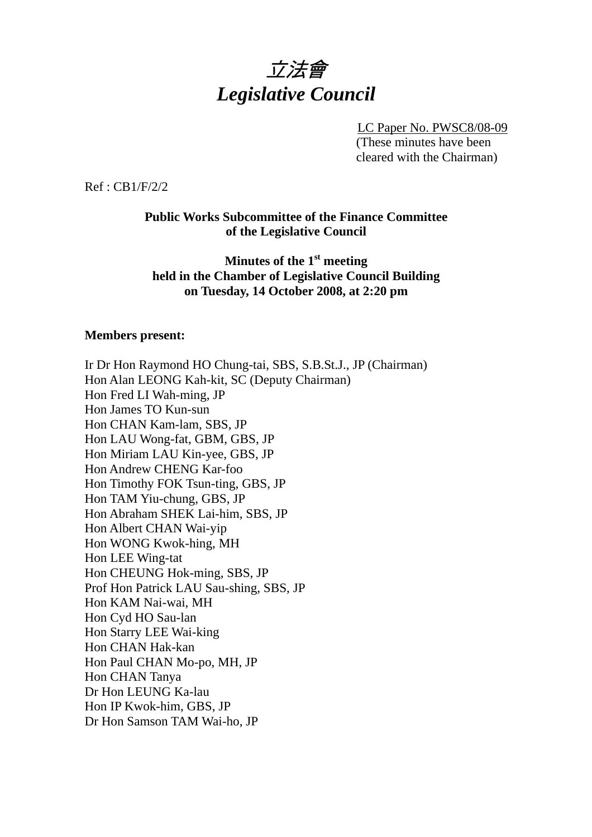# 立法會 *Legislative Council*

LC Paper No. PWSC8/08-09 (These minutes have been cleared with the Chairman)

Ref : CB1/F/2/2

#### **Public Works Subcommittee of the Finance Committee of the Legislative Council**

## **Minutes of the 1st meeting held in the Chamber of Legislative Council Building on Tuesday, 14 October 2008, at 2:20 pm**

#### **Members present:**

Ir Dr Hon Raymond HO Chung-tai, SBS, S.B.St.J., JP (Chairman) Hon Alan LEONG Kah-kit, SC (Deputy Chairman) Hon Fred LI Wah-ming, JP Hon James TO Kun-sun Hon CHAN Kam-lam, SBS, JP Hon LAU Wong-fat, GBM, GBS, JP Hon Miriam LAU Kin-yee, GBS, JP Hon Andrew CHENG Kar-foo Hon Timothy FOK Tsun-ting, GBS, JP Hon TAM Yiu-chung, GBS, JP Hon Abraham SHEK Lai-him, SBS, JP Hon Albert CHAN Wai-yip Hon WONG Kwok-hing, MH Hon LEE Wing-tat Hon CHEUNG Hok-ming, SBS, JP Prof Hon Patrick LAU Sau-shing, SBS, JP Hon KAM Nai-wai, MH Hon Cyd HO Sau-lan Hon Starry LEE Wai-king Hon CHAN Hak-kan Hon Paul CHAN Mo-po, MH, JP Hon CHAN Tanya Dr Hon LEUNG Ka-lau Hon IP Kwok-him, GBS, JP Dr Hon Samson TAM Wai-ho, JP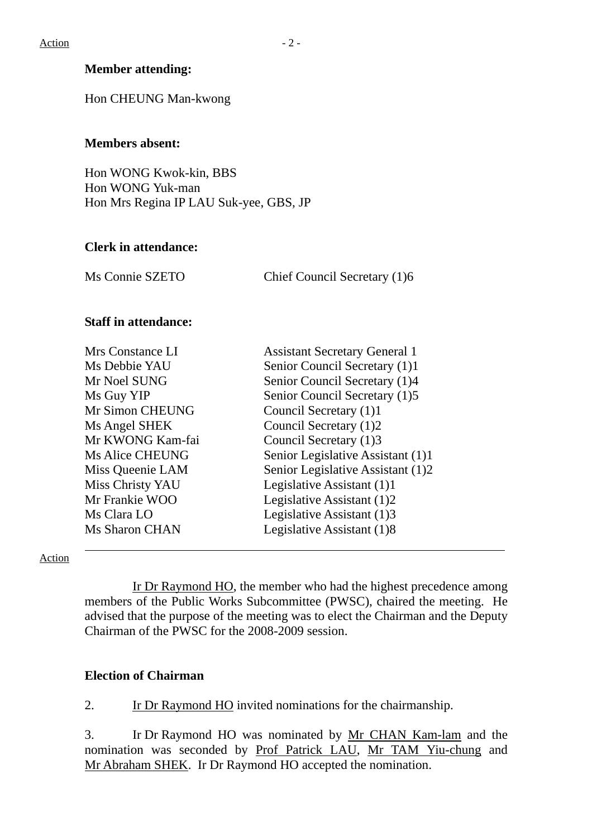## **Member attending:**

Hon CHEUNG Man-kwong

#### **Members absent:**

Hon WONG Kwok-kin, BBS Hon WONG Yuk-man Hon Mrs Regina IP LAU Suk-yee, GBS, JP

#### **Clerk in attendance:**

Ms Connie SZETO Chief Council Secretary (1)6

#### **Staff in attendance:**

| Mrs Constance LI       | <b>Assistant Secretary General 1</b> |
|------------------------|--------------------------------------|
| Ms Debbie YAU          | Senior Council Secretary (1)1        |
| Mr Noel SUNG           | Senior Council Secretary (1)4        |
| Ms Guy YIP             | Senior Council Secretary (1)5        |
| Mr Simon CHEUNG        | Council Secretary (1)1               |
| Ms Angel SHEK          | Council Secretary (1)2               |
| Mr KWONG Kam-fai       | Council Secretary (1)3               |
| <b>Ms Alice CHEUNG</b> | Senior Legislative Assistant (1)1    |
| Miss Queenie LAM       | Senior Legislative Assistant (1)2    |
| Miss Christy YAU       | Legislative Assistant (1)1           |
| Mr Frankie WOO         | Legislative Assistant (1)2           |
| Ms Clara LO            | Legislative Assistant (1)3           |
| Ms Sharon CHAN         | Legislative Assistant (1)8           |

Action

 Ir Dr Raymond HO, the member who had the highest precedence among members of the Public Works Subcommittee (PWSC), chaired the meeting. He advised that the purpose of the meeting was to elect the Chairman and the Deputy Chairman of the PWSC for the 2008-2009 session.

## **Election of Chairman**

2. Ir Dr Raymond HO invited nominations for the chairmanship.

3. Ir Dr Raymond HO was nominated by Mr CHAN Kam-lam and the nomination was seconded by Prof Patrick LAU, Mr TAM Yiu-chung and Mr Abraham SHEK. Ir Dr Raymond HO accepted the nomination.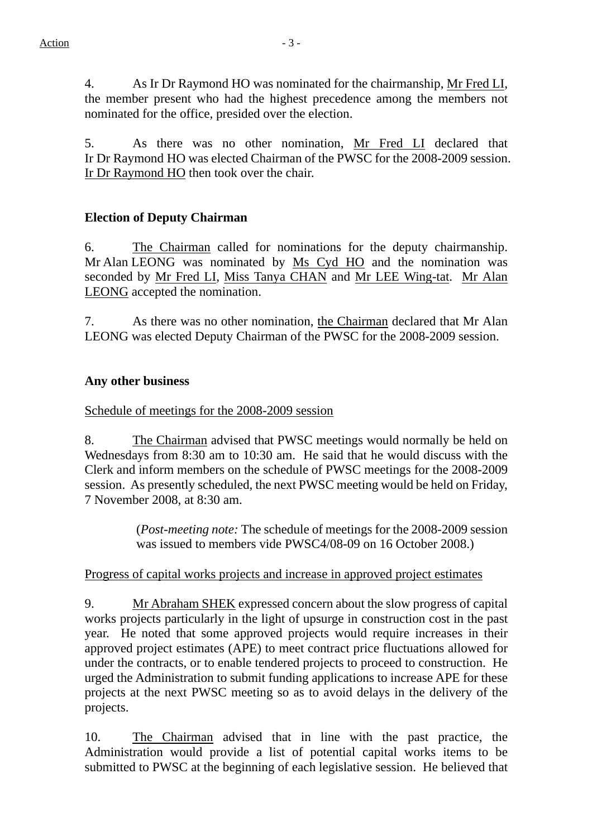4. As Ir Dr Raymond HO was nominated for the chairmanship, Mr Fred LI, the member present who had the highest precedence among the members not nominated for the office, presided over the election.

5. As there was no other nomination, Mr Fred LI declared that Ir Dr Raymond HO was elected Chairman of the PWSC for the 2008-2009 session. Ir Dr Raymond HO then took over the chair.

# **Election of Deputy Chairman**

6. The Chairman called for nominations for the deputy chairmanship. Mr Alan LEONG was nominated by Ms Cyd HO and the nomination was seconded by Mr Fred LI, Miss Tanya CHAN and Mr LEE Wing-tat. Mr Alan LEONG accepted the nomination.

7. As there was no other nomination, the Chairman declared that Mr Alan LEONG was elected Deputy Chairman of the PWSC for the 2008-2009 session.

## **Any other business**

Schedule of meetings for the 2008-2009 session

8. The Chairman advised that PWSC meetings would normally be held on Wednesdays from 8:30 am to 10:30 am. He said that he would discuss with the Clerk and inform members on the schedule of PWSC meetings for the 2008-2009 session. As presently scheduled, the next PWSC meeting would be held on Friday, 7 November 2008, at 8:30 am.

> (*Post-meeting note:* The schedule of meetings for the 2008-2009 session was issued to members vide PWSC4/08-09 on 16 October 2008.)

## Progress of capital works projects and increase in approved project estimates

9. Mr Abraham SHEK expressed concern about the slow progress of capital works projects particularly in the light of upsurge in construction cost in the past year. He noted that some approved projects would require increases in their approved project estimates (APE) to meet contract price fluctuations allowed for under the contracts, or to enable tendered projects to proceed to construction. He urged the Administration to submit funding applications to increase APE for these projects at the next PWSC meeting so as to avoid delays in the delivery of the projects.

10. The Chairman advised that in line with the past practice, the Administration would provide a list of potential capital works items to be submitted to PWSC at the beginning of each legislative session. He believed that